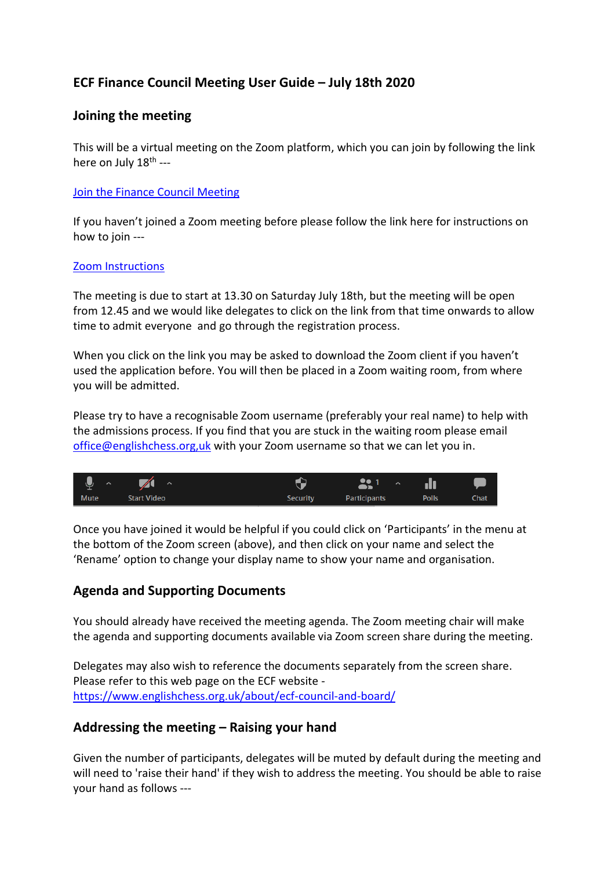# **ECF Finance Council Meeting User Guide – July 18th 2020**

### **Joining the meeting**

This will be a virtual meeting on the Zoom platform, which you can join by following the link here on July 18<sup>th</sup> ---

#### [Join the Finance Council Meeting](https://us02web.zoom.us/j/88607734615?pwd=Z3BsWEZydk1Mc0wwME4rQ0thaUNDQT09)

If you haven't joined a Zoom meeting before please follow the link here for instructions on how to join ---

#### [Zoom Instructions](https://support.zoom.us/hc/en-us/articles/201362193-Joining-a-meeting)

The meeting is due to start at 13.30 on Saturday July 18th, but the meeting will be open from 12.45 and we would like delegates to click on the link from that time onwards to allow time to admit everyone and go through the registration process.

When you click on the link you may be asked to download the Zoom client if you haven't used the application before. You will then be placed in a Zoom waiting room, from where you will be admitted.

Please try to have a recognisable Zoom username (preferably your real name) to help with the admissions process. If you find that you are stuck in the waiting room please email [office@englishchess.org,uk](mailto:office@englishchess.org,uk) with your Zoom username so that we can let you in.



Once you have joined it would be helpful if you could click on 'Participants' in the menu at the bottom of the Zoom screen (above), and then click on your name and select the 'Rename' option to change your display name to show your name and organisation.

## **Agenda and Supporting Documents**

You should already have received the meeting agenda. The Zoom meeting chair will make the agenda and supporting documents available via Zoom screen share during the meeting.

Delegates may also wish to reference the documents separately from the screen share. Please refer to this web page on the ECF website <https://www.englishchess.org.uk/about/ecf-council-and-board/>

### **Addressing the meeting – Raising your hand**

Given the number of participants, delegates will be muted by default during the meeting and will need to 'raise their hand' if they wish to address the meeting. You should be able to raise your hand as follows ---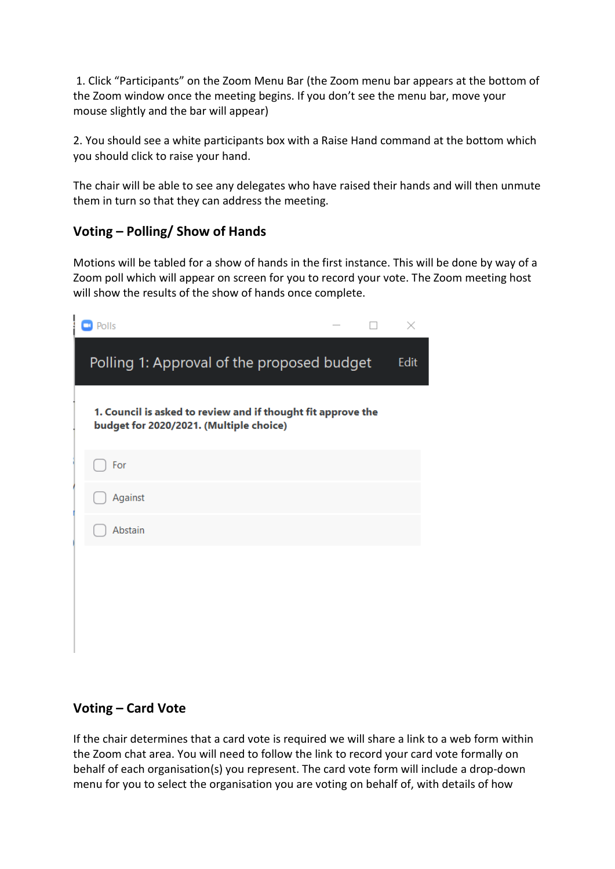1. Click "Participants" on the Zoom Menu Bar (the Zoom menu bar appears at the bottom of the Zoom window once the meeting begins. If you don't see the menu bar, move your mouse slightly and the bar will appear)

2. You should see a white participants box with a Raise Hand command at the bottom which you should click to raise your hand.

The chair will be able to see any delegates who have raised their hands and will then unmute them in turn so that they can address the meeting.

## **Voting – Polling/ Show of Hands**

Motions will be tabled for a show of hands in the first instance. This will be done by way of a Zoom poll which will appear on screen for you to record your vote. The Zoom meeting host will show the results of the show of hands once complete.

| Polls                                                                                                   |  | ×    |
|---------------------------------------------------------------------------------------------------------|--|------|
| Polling 1: Approval of the proposed budget                                                              |  | Edit |
| 1. Council is asked to review and if thought fit approve the<br>budget for 2020/2021. (Multiple choice) |  |      |
| For                                                                                                     |  |      |
| Against                                                                                                 |  |      |
| Abstain                                                                                                 |  |      |
|                                                                                                         |  |      |
|                                                                                                         |  |      |
|                                                                                                         |  |      |

## **Voting – Card Vote**

If the chair determines that a card vote is required we will share a link to a web form within the Zoom chat area. You will need to follow the link to record your card vote formally on behalf of each organisation(s) you represent. The card vote form will include a drop-down menu for you to select the organisation you are voting on behalf of, with details of how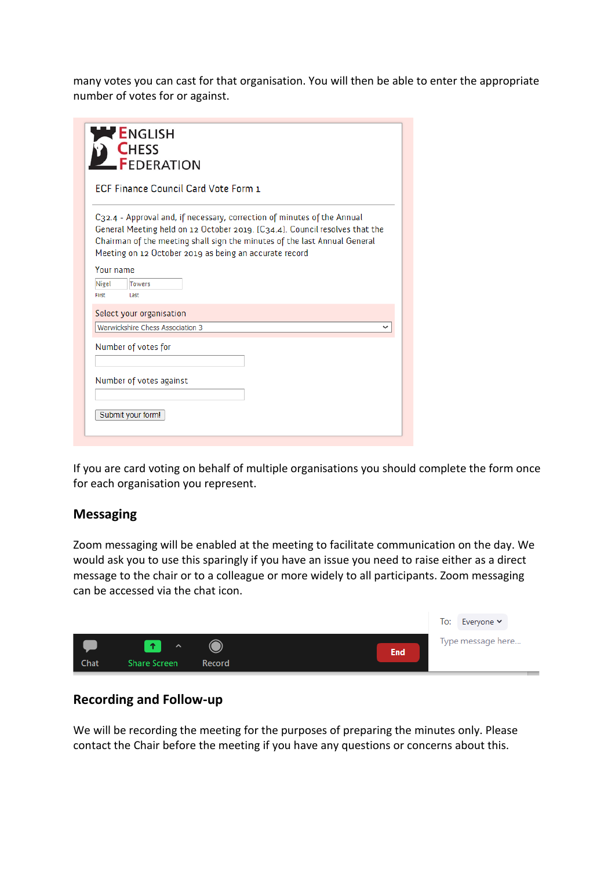many votes you can cast for that organisation. You will then be able to enter the appropriate number of votes for or against.

|                                             | <b>ENGLISH</b><br><b>CHESS</b><br>-FEDERATION                                                                                                                                                                                                                                                 |  |  |
|---------------------------------------------|-----------------------------------------------------------------------------------------------------------------------------------------------------------------------------------------------------------------------------------------------------------------------------------------------|--|--|
| <b>ECF Finance Council Card Vote Form 1</b> |                                                                                                                                                                                                                                                                                               |  |  |
|                                             | C32.4 - Approval and, if necessary, correction of minutes of the Annual<br>General Meeting held on 12 October 2019. [C34.4]. Council resolves that the<br>Chairman of the meeting shall sign the minutes of the last Annual General<br>Meeting on 12 October 2019 as being an accurate record |  |  |
| Your name<br>Nigel<br>First                 | Towers<br>Last                                                                                                                                                                                                                                                                                |  |  |
|                                             | Select your organisation                                                                                                                                                                                                                                                                      |  |  |
|                                             | Warwickshire Chess Association 3                                                                                                                                                                                                                                                              |  |  |
|                                             | Number of votes for                                                                                                                                                                                                                                                                           |  |  |
|                                             | Number of votes against                                                                                                                                                                                                                                                                       |  |  |
|                                             | Submit your form!                                                                                                                                                                                                                                                                             |  |  |

If you are card voting on behalf of multiple organisations you should complete the form once for each organisation you represent.

#### **Messaging**

Zoom messaging will be enabled at the meeting to facilitate communication on the day. We would ask you to use this sparingly if you have an issue you need to raise either as a direct message to the chair or to a colleague or more widely to all participants. Zoom messaging can be accessed via the chat icon.



### **Recording and Follow-up**

We will be recording the meeting for the purposes of preparing the minutes only. Please contact the Chair before the meeting if you have any questions or concerns about this.